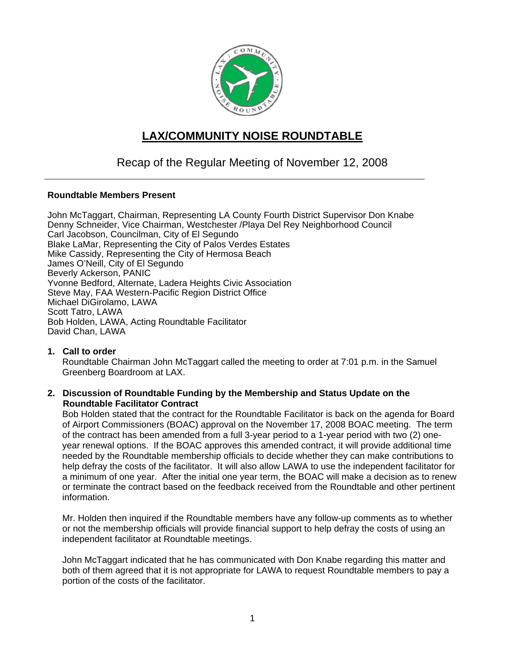

# **LAX/COMMUNITY NOISE ROUNDTABLE**

## Recap of the Regular Meeting of November 12, 2008

#### **Roundtable Members Present**

John McTaggart, Chairman, Representing LA County Fourth District Supervisor Don Knabe Denny Schneider, Vice Chairman, Westchester /Playa Del Rey Neighborhood Council Carl Jacobson, Councilman, City of El Segundo Blake LaMar, Representing the City of Palos Verdes Estates Mike Cassidy, Representing the City of Hermosa Beach James O'Neill, City of El Segundo Beverly Ackerson, PANIC Yvonne Bedford, Alternate, Ladera Heights Civic Association Steve May, FAA Western-Pacific Region District Office Michael DiGirolamo, LAWA Scott Tatro, LAWA Bob Holden, LAWA, Acting Roundtable Facilitator David Chan, LAWA

**1. Call to order**  Roundtable Chairman John McTaggart called the meeting to order at 7:01 p.m. in the Samuel Greenberg Boardroom at LAX.

#### **2. Discussion of Roundtable Funding by the Membership and Status Update on the Roundtable Facilitator Contract**

Bob Holden stated that the contract for the Roundtable Facilitator is back on the agenda for Board of Airport Commissioners (BOAC) approval on the November 17, 2008 BOAC meeting. The term of the contract has been amended from a full 3-year period to a 1-year period with two (2) oneyear renewal options. If the BOAC approves this amended contract, it will provide additional time needed by the Roundtable membership officials to decide whether they can make contributions to help defray the costs of the facilitator. It will also allow LAWA to use the independent facilitator for a minimum of one year. After the initial one year term, the BOAC will make a decision as to renew or terminate the contract based on the feedback received from the Roundtable and other pertinent information.

Mr. Holden then inquired if the Roundtable members have any follow-up comments as to whether or not the membership officials will provide financial support to help defray the costs of using an independent facilitator at Roundtable meetings.

John McTaggart indicated that he has communicated with Don Knabe regarding this matter and both of them agreed that it is not appropriate for LAWA to request Roundtable members to pay a portion of the costs of the facilitator.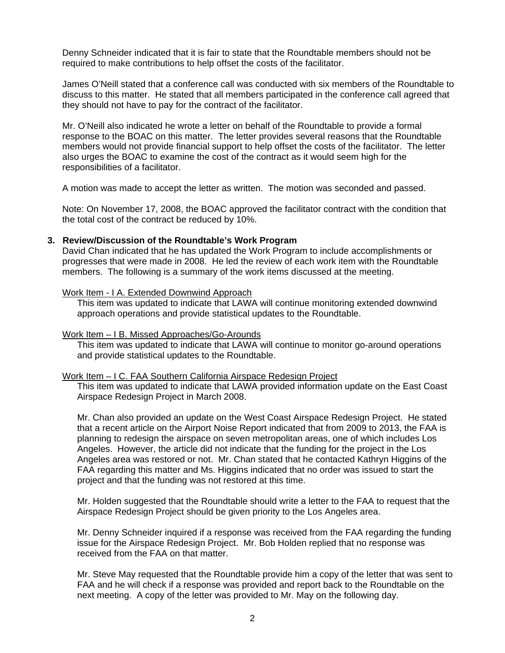Denny Schneider indicated that it is fair to state that the Roundtable members should not be required to make contributions to help offset the costs of the facilitator.

James O'Neill stated that a conference call was conducted with six members of the Roundtable to discuss to this matter. He stated that all members participated in the conference call agreed that they should not have to pay for the contract of the facilitator.

Mr. O'Neill also indicated he wrote a letter on behalf of the Roundtable to provide a formal response to the BOAC on this matter. The letter provides several reasons that the Roundtable members would not provide financial support to help offset the costs of the facilitator. The letter also urges the BOAC to examine the cost of the contract as it would seem high for the responsibilities of a facilitator.

A motion was made to accept the letter as written. The motion was seconded and passed.

Note: On November 17, 2008, the BOAC approved the facilitator contract with the condition that the total cost of the contract be reduced by 10%.

#### **3. Review/Discussion of the Roundtable's Work Program**

David Chan indicated that he has updated the Work Program to include accomplishments or progresses that were made in 2008. He led the review of each work item with the Roundtable members. The following is a summary of the work items discussed at the meeting.

#### Work Item - I A. Extended Downwind Approach

This item was updated to indicate that LAWA will continue monitoring extended downwind approach operations and provide statistical updates to the Roundtable.

#### Work Item – I B. Missed Approaches/Go-Arounds

This item was updated to indicate that LAWA will continue to monitor go-around operations and provide statistical updates to the Roundtable.

#### Work Item – I C. FAA Southern California Airspace Redesign Project

This item was updated to indicate that LAWA provided information update on the East Coast Airspace Redesign Project in March 2008.

Mr. Chan also provided an update on the West Coast Airspace Redesign Project. He stated that a recent article on the Airport Noise Report indicated that from 2009 to 2013, the FAA is planning to redesign the airspace on seven metropolitan areas, one of which includes Los Angeles. However, the article did not indicate that the funding for the project in the Los Angeles area was restored or not. Mr. Chan stated that he contacted Kathryn Higgins of the FAA regarding this matter and Ms. Higgins indicated that no order was issued to start the project and that the funding was not restored at this time.

Mr. Holden suggested that the Roundtable should write a letter to the FAA to request that the Airspace Redesign Project should be given priority to the Los Angeles area.

Mr. Denny Schneider inquired if a response was received from the FAA regarding the funding issue for the Airspace Redesign Project. Mr. Bob Holden replied that no response was received from the FAA on that matter.

Mr. Steve May requested that the Roundtable provide him a copy of the letter that was sent to FAA and he will check if a response was provided and report back to the Roundtable on the next meeting. A copy of the letter was provided to Mr. May on the following day.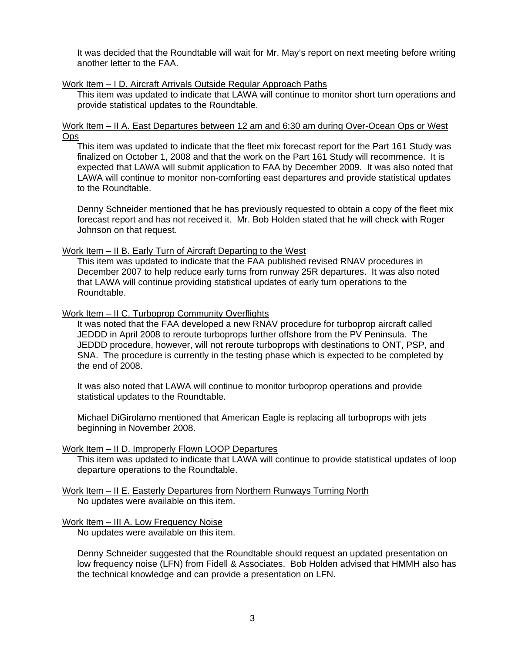It was decided that the Roundtable will wait for Mr. May's report on next meeting before writing another letter to the FAA.

#### Work Item – I D. Aircraft Arrivals Outside Regular Approach Paths

This item was updated to indicate that LAWA will continue to monitor short turn operations and provide statistical updates to the Roundtable.

#### Work Item – II A. East Departures between 12 am and 6:30 am during Over-Ocean Ops or West **Ops**

This item was updated to indicate that the fleet mix forecast report for the Part 161 Study was finalized on October 1, 2008 and that the work on the Part 161 Study will recommence. It is expected that LAWA will submit application to FAA by December 2009. It was also noted that LAWA will continue to monitor non-comforting east departures and provide statistical updates to the Roundtable.

Denny Schneider mentioned that he has previously requested to obtain a copy of the fleet mix forecast report and has not received it. Mr. Bob Holden stated that he will check with Roger Johnson on that request.

#### Work Item – II B. Early Turn of Aircraft Departing to the West

This item was updated to indicate that the FAA published revised RNAV procedures in December 2007 to help reduce early turns from runway 25R departures. It was also noted that LAWA will continue providing statistical updates of early turn operations to the Roundtable.

#### Work Item - II C. Turboprop Community Overflights

It was noted that the FAA developed a new RNAV procedure for turboprop aircraft called JEDDD in April 2008 to reroute turboprops further offshore from the PV Peninsula. The JEDDD procedure, however, will not reroute turboprops with destinations to ONT, PSP, and SNA. The procedure is currently in the testing phase which is expected to be completed by the end of 2008.

It was also noted that LAWA will continue to monitor turboprop operations and provide statistical updates to the Roundtable.

Michael DiGirolamo mentioned that American Eagle is replacing all turboprops with jets beginning in November 2008.

#### Work Item – II D. Improperly Flown LOOP Departures

This item was updated to indicate that LAWA will continue to provide statistical updates of loop departure operations to the Roundtable.

Work Item – II E. Easterly Departures from Northern Runways Turning North No updates were available on this item.

#### Work Item – III A. Low Frequency Noise

No updates were available on this item.

Denny Schneider suggested that the Roundtable should request an updated presentation on low frequency noise (LFN) from Fidell & Associates. Bob Holden advised that HMMH also has the technical knowledge and can provide a presentation on LFN.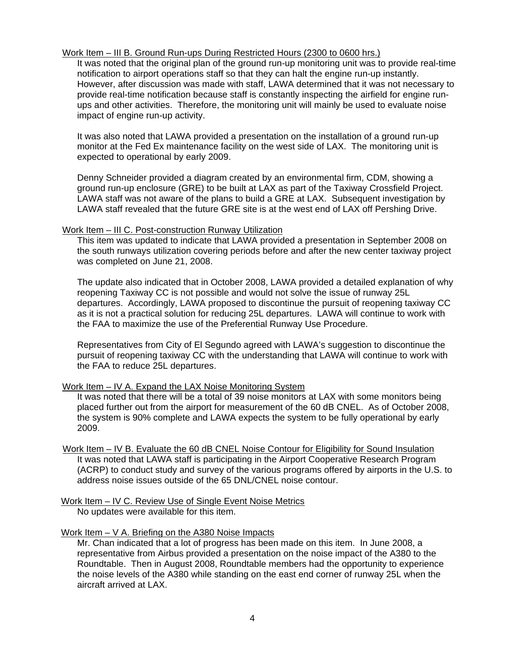#### Work Item – III B. Ground Run-ups During Restricted Hours (2300 to 0600 hrs.)

It was noted that the original plan of the ground run-up monitoring unit was to provide real-time notification to airport operations staff so that they can halt the engine run-up instantly. However, after discussion was made with staff, LAWA determined that it was not necessary to provide real-time notification because staff is constantly inspecting the airfield for engine runups and other activities. Therefore, the monitoring unit will mainly be used to evaluate noise impact of engine run-up activity.

It was also noted that LAWA provided a presentation on the installation of a ground run-up monitor at the Fed Ex maintenance facility on the west side of LAX. The monitoring unit is expected to operational by early 2009.

Denny Schneider provided a diagram created by an environmental firm, CDM, showing a ground run-up enclosure (GRE) to be built at LAX as part of the Taxiway Crossfield Project. LAWA staff was not aware of the plans to build a GRE at LAX. Subsequent investigation by LAWA staff revealed that the future GRE site is at the west end of LAX off Pershing Drive.

#### Work Item – III C. Post-construction Runway Utilization

This item was updated to indicate that LAWA provided a presentation in September 2008 on the south runways utilization covering periods before and after the new center taxiway project was completed on June 21, 2008.

The update also indicated that in October 2008, LAWA provided a detailed explanation of why reopening Taxiway CC is not possible and would not solve the issue of runway 25L departures. Accordingly, LAWA proposed to discontinue the pursuit of reopening taxiway CC as it is not a practical solution for reducing 25L departures. LAWA will continue to work with the FAA to maximize the use of the Preferential Runway Use Procedure.

Representatives from City of El Segundo agreed with LAWA's suggestion to discontinue the pursuit of reopening taxiway CC with the understanding that LAWA will continue to work with the FAA to reduce 25L departures.

#### Work Item – IV A. Expand the LAX Noise Monitoring System

It was noted that there will be a total of 39 noise monitors at LAX with some monitors being placed further out from the airport for measurement of the 60 dB CNEL. As of October 2008, the system is 90% complete and LAWA expects the system to be fully operational by early 2009.

- Work Item IV B. Evaluate the 60 dB CNEL Noise Contour for Eligibility for Sound Insulation It was noted that LAWA staff is participating in the Airport Cooperative Research Program (ACRP) to conduct study and survey of the various programs offered by airports in the U.S. to address noise issues outside of the 65 DNL/CNEL noise contour.
- Work Item IV C. Review Use of Single Event Noise Metrics No updates were available for this item.

#### Work Item – V A. Briefing on the A380 Noise Impacts

Mr. Chan indicated that a lot of progress has been made on this item. In June 2008, a representative from Airbus provided a presentation on the noise impact of the A380 to the Roundtable. Then in August 2008, Roundtable members had the opportunity to experience the noise levels of the A380 while standing on the east end corner of runway 25L when the aircraft arrived at LAX.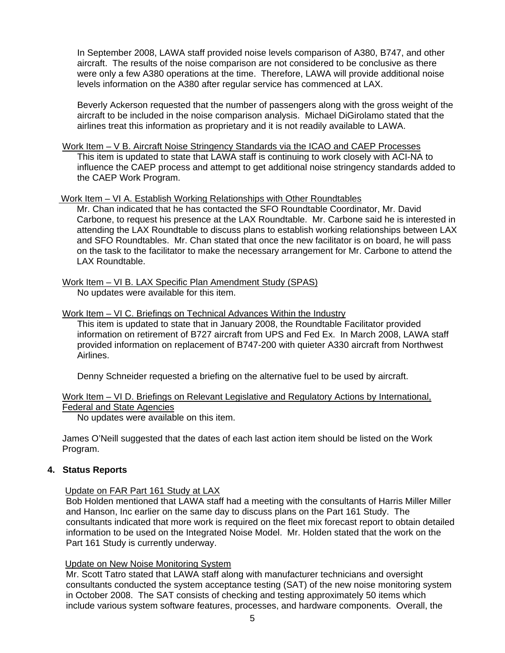In September 2008, LAWA staff provided noise levels comparison of A380, B747, and other aircraft. The results of the noise comparison are not considered to be conclusive as there were only a few A380 operations at the time. Therefore, LAWA will provide additional noise levels information on the A380 after regular service has commenced at LAX.

 Beverly Ackerson requested that the number of passengers along with the gross weight of the aircraft to be included in the noise comparison analysis. Michael DiGirolamo stated that the airlines treat this information as proprietary and it is not readily available to LAWA.

Work Item – V B. Aircraft Noise Stringency Standards via the ICAO and CAEP Processes This item is updated to state that LAWA staff is continuing to work closely with ACI-NA to influence the CAEP process and attempt to get additional noise stringency standards added to the CAEP Work Program.

#### Work Item – VI A. Establish Working Relationships with Other Roundtables

Mr. Chan indicated that he has contacted the SFO Roundtable Coordinator, Mr. David Carbone, to request his presence at the LAX Roundtable. Mr. Carbone said he is interested in attending the LAX Roundtable to discuss plans to establish working relationships between LAX and SFO Roundtables. Mr. Chan stated that once the new facilitator is on board, he will pass on the task to the facilitator to make the necessary arrangement for Mr. Carbone to attend the LAX Roundtable.

Work Item – VI B. LAX Specific Plan Amendment Study (SPAS)

No updates were available for this item.

#### Work Item – VI C. Briefings on Technical Advances Within the Industry

This item is updated to state that in January 2008, the Roundtable Facilitator provided information on retirement of B727 aircraft from UPS and Fed Ex. In March 2008, LAWA staff provided information on replacement of B747-200 with quieter A330 aircraft from Northwest Airlines.

Denny Schneider requested a briefing on the alternative fuel to be used by aircraft.

| Work Item – VI D. Briefings on Relevant Legislative and Regulatory Actions by International, |  |  |  |  |
|----------------------------------------------------------------------------------------------|--|--|--|--|
| <b>Federal and State Agencies</b>                                                            |  |  |  |  |

No updates were available on this item.

James O'Neill suggested that the dates of each last action item should be listed on the Work Program.

#### **4. Status Reports**

#### Update on FAR Part 161 Study at LAX

Bob Holden mentioned that LAWA staff had a meeting with the consultants of Harris Miller Miller and Hanson, Inc earlier on the same day to discuss plans on the Part 161 Study. The consultants indicated that more work is required on the fleet mix forecast report to obtain detailed information to be used on the Integrated Noise Model. Mr. Holden stated that the work on the Part 161 Study is currently underway.

#### Update on New Noise Monitoring System

Mr. Scott Tatro stated that LAWA staff along with manufacturer technicians and oversight consultants conducted the system acceptance testing (SAT) of the new noise monitoring system in October 2008. The SAT consists of checking and testing approximately 50 items which include various system software features, processes, and hardware components. Overall, the